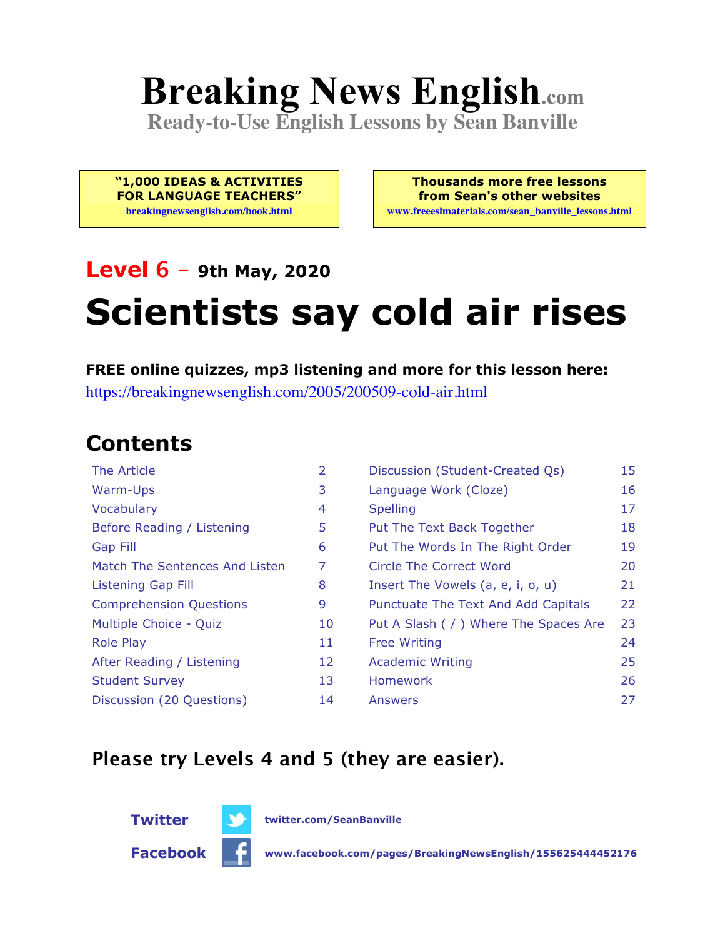# **Breaking News English.com**

**Ready-to-Use English Lessons by Sean Banville**

**"1,000 IDEAS & ACTIVITIES FOR LANGUAGE TEACHERS" breakingnewsenglish.com/book.html**

**Thousands more free lessons from Sean's other websites www.freeeslmaterials.com/sean\_banville\_lessons.html**

### **Level 6 - 9th May, 2020**

## **Scientists say cold air rises**

**FREE online quizzes, mp3 listening and more for this lesson here:** https://breakingnewsenglish.com/2005/200509-cold-air.html

#### **Contents**

| The Article                    | 2  | Discussion (Student-Created Qs)        | 15 |
|--------------------------------|----|----------------------------------------|----|
| Warm-Ups                       | 3  | Language Work (Cloze)                  | 16 |
| Vocabulary                     | 4  | <b>Spelling</b>                        | 17 |
| Before Reading / Listening     | 5  | Put The Text Back Together             | 18 |
| Gap Fill                       | 6  | Put The Words In The Right Order       | 19 |
| Match The Sentences And Listen | 7  | Circle The Correct Word                | 20 |
| <b>Listening Gap Fill</b>      | 8  | Insert The Vowels (a, e, i, o, u)      | 21 |
| <b>Comprehension Questions</b> | 9  | Punctuate The Text And Add Capitals    | 22 |
| Multiple Choice - Quiz         | 10 | Put A Slash ( / ) Where The Spaces Are | 23 |
| <b>Role Play</b>               | 11 | <b>Free Writing</b>                    | 24 |
| After Reading / Listening      | 12 | <b>Academic Writing</b>                | 25 |
| <b>Student Survey</b>          | 13 | <b>Homework</b>                        | 26 |
| Discussion (20 Questions)      | 14 | Answers                                | 27 |
|                                |    |                                        |    |

#### **Please try Levels 4 and 5 (they are easier).**



**Twitter twitter.com/SeanBanville**



**Facebook www.facebook.com/pages/BreakingNewsEnglish/155625444452176**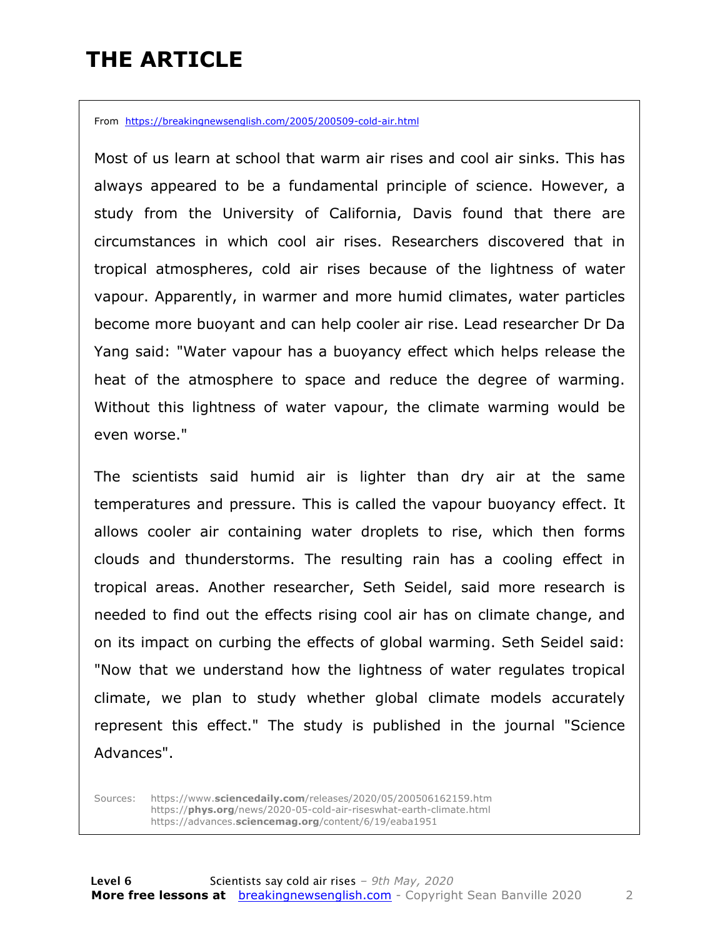### **THE ARTICLE**

From https://breakingnewsenglish.com/2005/200509-cold-air.html

Most of us learn at school that warm air rises and cool air sinks. This has always appeared to be a fundamental principle of science. However, a study from the University of California, Davis found that there are circumstances in which cool air rises. Researchers discovered that in tropical atmospheres, cold air rises because of the lightness of water vapour. Apparently, in warmer and more humid climates, water particles become more buoyant and can help cooler air rise. Lead researcher Dr Da Yang said: "Water vapour has a buoyancy effect which helps release the heat of the atmosphere to space and reduce the degree of warming. Without this lightness of water vapour, the climate warming would be even worse."

The scientists said humid air is lighter than dry air at the same temperatures and pressure. This is called the vapour buoyancy effect. It allows cooler air containing water droplets to rise, which then forms clouds and thunderstorms. The resulting rain has a cooling effect in tropical areas. Another researcher, Seth Seidel, said more research is needed to find out the effects rising cool air has on climate change, and on its impact on curbing the effects of global warming. Seth Seidel said: "Now that we understand how the lightness of water regulates tropical climate, we plan to study whether global climate models accurately represent this effect." The study is published in the journal "Science Advances".

Sources: https://www.**sciencedaily.com**/releases/2020/05/200506162159.htm https://**phys.org**/news/2020-05-cold-air-riseswhat-earth-climate.html https://advances.**sciencemag.org**/content/6/19/eaba1951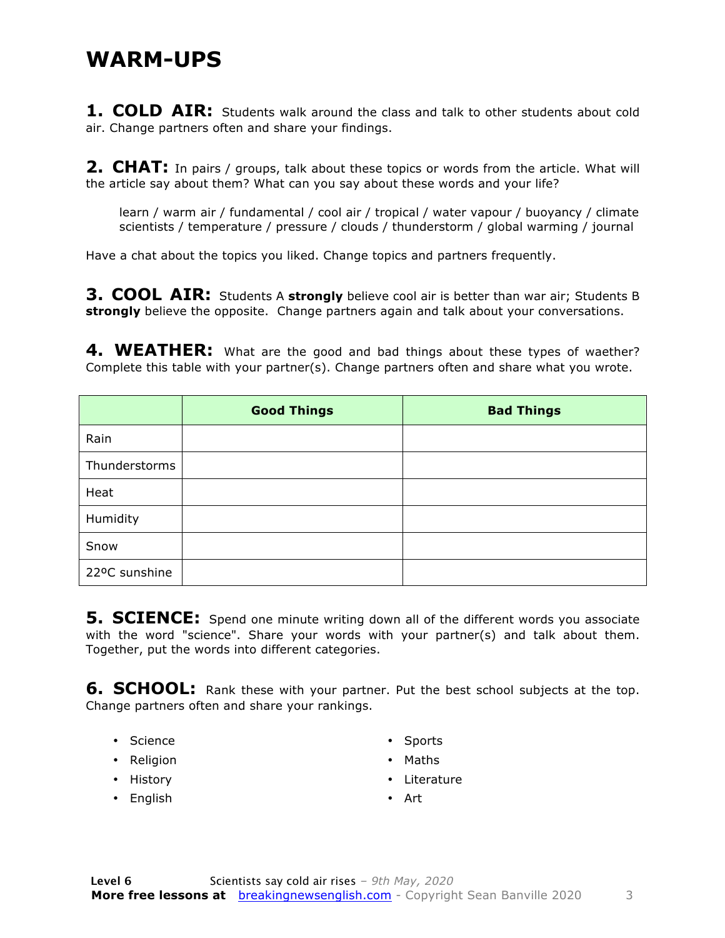#### **WARM-UPS**

1. COLD AIR: Students walk around the class and talk to other students about cold air. Change partners often and share your findings.

**2. CHAT:** In pairs / groups, talk about these topics or words from the article. What will the article say about them? What can you say about these words and your life?

learn / warm air / fundamental / cool air / tropical / water vapour / buoyancy / climate scientists / temperature / pressure / clouds / thunderstorm / global warming / journal

Have a chat about the topics you liked. Change topics and partners frequently.

**3. COOL AIR:** Students A **strongly** believe cool air is better than war air; Students B **strongly** believe the opposite. Change partners again and talk about your conversations.

4. WEATHER: What are the good and bad things about these types of waether? Complete this table with your partner(s). Change partners often and share what you wrote.

|               | <b>Good Things</b> | <b>Bad Things</b> |
|---------------|--------------------|-------------------|
| Rain          |                    |                   |
| Thunderstorms |                    |                   |
| Heat          |                    |                   |
| Humidity      |                    |                   |
| Snow          |                    |                   |
| 22ºC sunshine |                    |                   |

**5. SCIENCE:** Spend one minute writing down all of the different words you associate with the word "science". Share your words with your partner(s) and talk about them. Together, put the words into different categories.

**6. SCHOOL:** Rank these with your partner. Put the best school subjects at the top. Change partners often and share your rankings.

- Science
- Religion
- History
- English
- Sports
- Maths
- Literature
- Art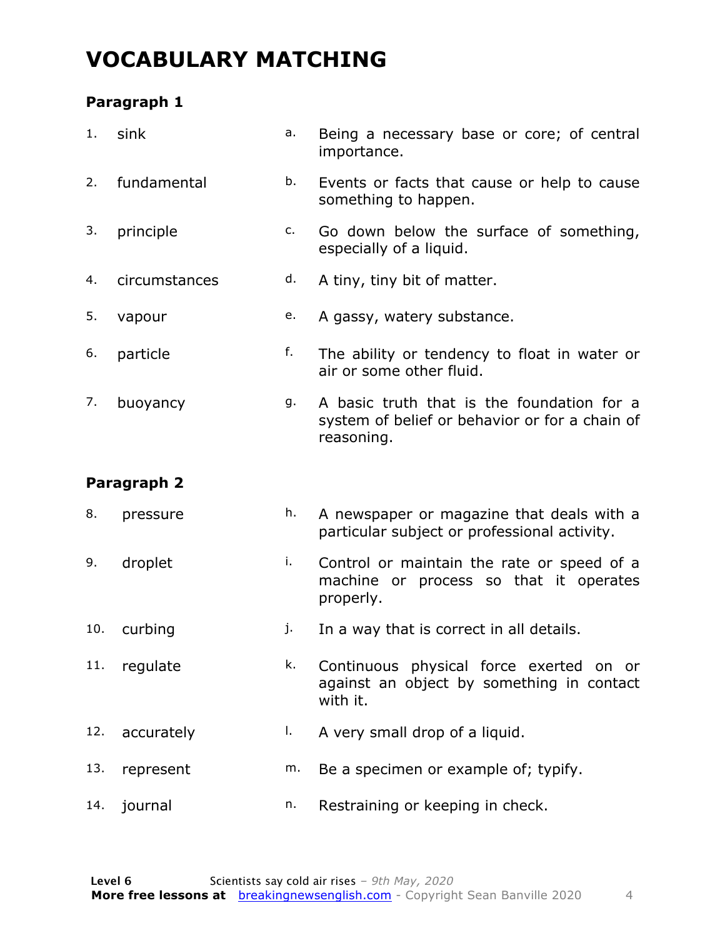### **VOCABULARY MATCHING**

#### **Paragraph 1**

| 1.  | sink          | a. | Being a necessary base or core; of central<br>importance.                                                  |
|-----|---------------|----|------------------------------------------------------------------------------------------------------------|
| 2.  | fundamental   | b. | Events or facts that cause or help to cause<br>something to happen.                                        |
| 3.  | principle     | c. | Go down below the surface of something,<br>especially of a liquid.                                         |
| 4.  | circumstances | d. | A tiny, tiny bit of matter.                                                                                |
| 5.  | vapour        | e. | A gassy, watery substance.                                                                                 |
| 6.  | particle      | f. | The ability or tendency to float in water or<br>air or some other fluid.                                   |
| 7.  | buoyancy      | g. | A basic truth that is the foundation for a<br>system of belief or behavior or for a chain of<br>reasoning. |
|     | Paragraph 2   |    |                                                                                                            |
|     |               |    |                                                                                                            |
| 8.  | pressure      | h. | A newspaper or magazine that deals with a<br>particular subject or professional activity.                  |
| 9.  | droplet       | i. | Control or maintain the rate or speed of a<br>machine or process so that it operates<br>properly.          |
| 10. | curbing       | j. | In a way that is correct in all details.                                                                   |
| 11. | regulate      | k. | Continuous physical force exerted on or<br>against an object by something in contact<br>with it.           |
| 12. | accurately    | Ι. | A very small drop of a liquid.                                                                             |
| 13. | represent     | m. | Be a specimen or example of; typify.                                                                       |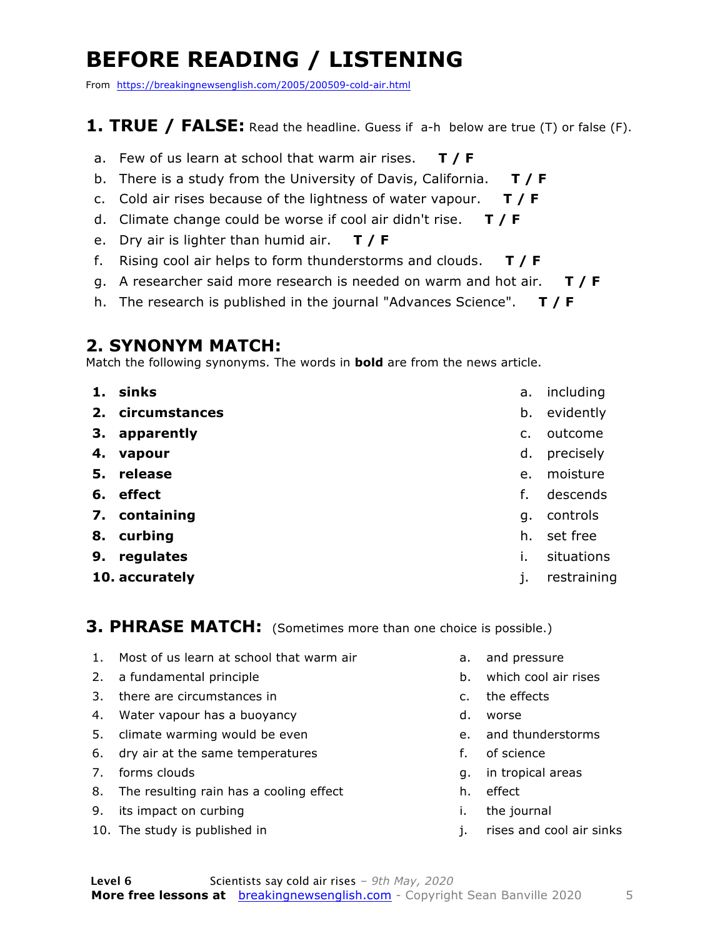### **BEFORE READING / LISTENING**

From https://breakingnewsenglish.com/2005/200509-cold-air.html

#### **1. TRUE / FALSE:** Read the headline. Guess if a-h below are true (T) or false (F).

- a. Few of us learn at school that warm air rises. **T / F**
- b. There is a study from the University of Davis, California. **T / F**
- c. Cold air rises because of the lightness of water vapour. **T / F**
- d. Climate change could be worse if cool air didn't rise. **T / F**
- e. Dry air is lighter than humid air. **T / F**
- f. Rising cool air helps to form thunderstorms and clouds. **T / F**
- g. A researcher said more research is needed on warm and hot air. **T / F**
- h. The research is published in the journal "Advances Science". **T / F**

#### **2. SYNONYM MATCH:**

Match the following synonyms. The words in **bold** are from the news article.

- **1. sinks**
- **2. circumstances**
- **3. apparently**
- **4. vapour**
- **5. release**
- **6. effect**
- **7. containing**
- **8. curbing**
- **9. regulates**
- **10. accurately**
- a. including
- b. evidently
- c. outcome
- d. precisely
- e. moisture
- f. descends
- g. controls
- h. set free
- i. situations
- j. restraining

**3. PHRASE MATCH:** (Sometimes more than one choice is possible.)

- 1. Most of us learn at school that warm air
- 2. a fundamental principle
- 3. there are circumstances in
- 4. Water vapour has a buoyancy
- 5. climate warming would be even
- 6. dry air at the same temperatures
- 7. forms clouds
- 8. The resulting rain has a cooling effect
- 9. its impact on curbing
- 10. The study is published in
- a. and pressure
- b. which cool air rises
- c. the effects
- d. worse
- e. and thunderstorms
- f. of science
- g. in tropical areas
- h. effect
- i. the journal
- j. rises and cool air sinks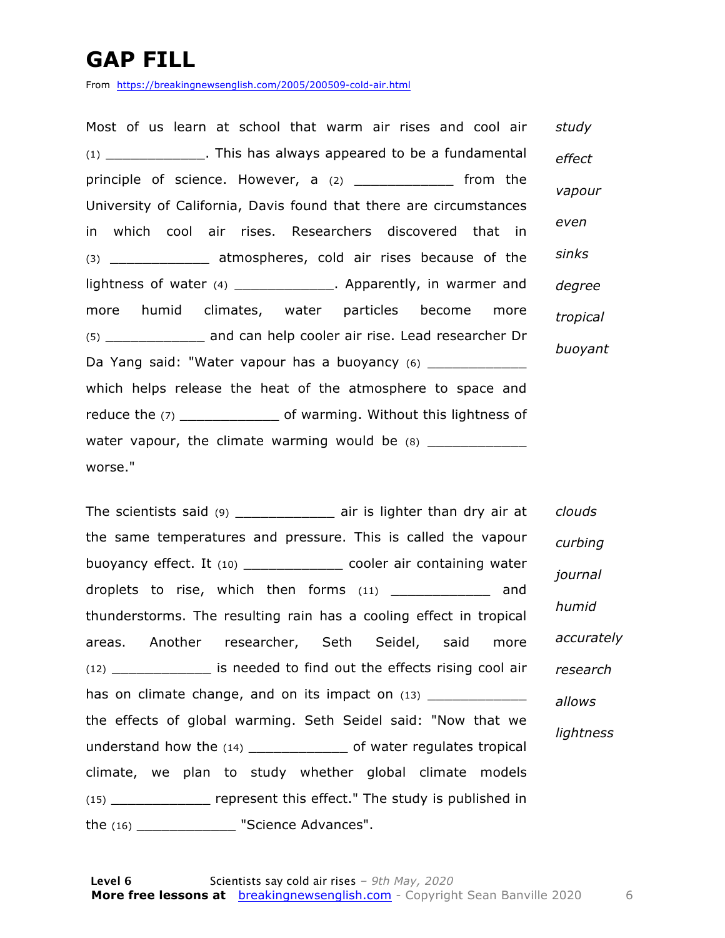### **GAP FILL**

From https://breakingnewsenglish.com/2005/200509-cold-air.html

Most of us learn at school that warm air rises and cool air (1) \_\_\_\_\_\_\_\_\_\_\_\_. This has always appeared to be a fundamental principle of science. However, a (2) \_\_\_\_\_\_\_\_\_\_\_\_ from the University of California, Davis found that there are circumstances in which cool air rises. Researchers discovered that in (3) \_\_\_\_\_\_\_\_\_\_\_\_ atmospheres, cold air rises because of the lightness of water (4) \_\_\_\_\_\_\_\_\_\_\_\_\_\_. Apparently, in warmer and more humid climates, water particles become more (5) \_\_\_\_\_\_\_\_\_\_\_\_ and can help cooler air rise. Lead researcher Dr Da Yang said: "Water vapour has a buoyancy (6) \_\_\_\_\_\_\_\_\_\_ which helps release the heat of the atmosphere to space and reduce the (7) \_\_\_\_\_\_\_\_\_\_\_\_\_\_\_\_ of warming. Without this lightness of water vapour, the climate warming would be  $(8)$ worse." *study effect vapour even sinks degree tropical buoyant*

The scientists said  $(9)$  air is lighter than dry air at the same temperatures and pressure. This is called the vapour buoyancy effect. It (10) \_\_\_\_\_\_\_\_\_\_\_\_ cooler air containing water droplets to rise, which then forms (11) \_\_\_\_\_\_\_\_\_\_\_\_ and thunderstorms. The resulting rain has a cooling effect in tropical areas. Another researcher, Seth Seidel, said more (12) \_\_\_\_\_\_\_\_\_\_\_\_ is needed to find out the effects rising cool air has on climate change, and on its impact on  $(13)$ the effects of global warming. Seth Seidel said: "Now that we understand how the (14) \_\_\_\_\_\_\_\_\_\_\_\_ of water regulates tropical climate, we plan to study whether global climate models (15) \_\_\_\_\_\_\_\_\_\_\_\_ represent this effect." The study is published in the (16) \_\_\_\_\_\_\_\_\_\_\_\_ "Science Advances". *clouds curbing journal humid accurately research allows lightness*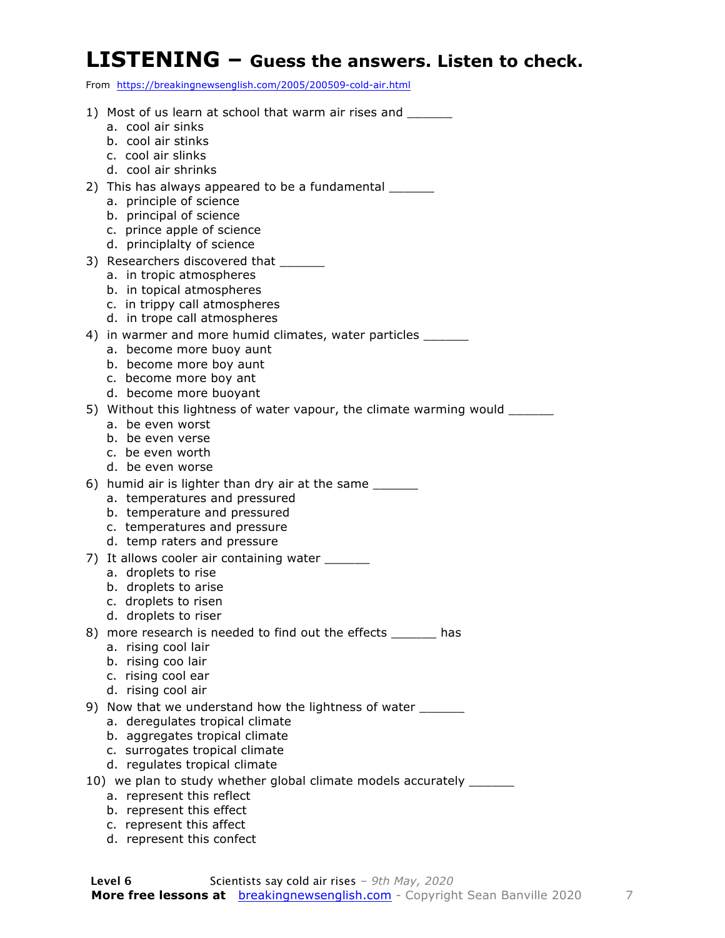#### **LISTENING – Guess the answers. Listen to check.**

From https://breakingnewsenglish.com/2005/200509-cold-air.html

1) Most of us learn at school that warm air rises and a. cool air sinks b. cool air stinks c. cool air slinks d. cool air shrinks 2) This has always appeared to be a fundamental a. principle of science b. principal of science c. prince apple of science d. principlalty of science 3) Researchers discovered that \_\_\_\_\_\_\_ a. in tropic atmospheres b. in topical atmospheres c. in trippy call atmospheres d. in trope call atmospheres 4) in warmer and more humid climates, water particles \_\_\_\_\_\_ a. become more buoy aunt b. become more boy aunt c. become more boy ant d. become more buoyant 5) Without this lightness of water vapour, the climate warming would \_\_\_\_\_\_ a. be even worst b. be even verse c. be even worth d. be even worse 6) humid air is lighter than dry air at the same a. temperatures and pressured b. temperature and pressured c. temperatures and pressure d. temp raters and pressure 7) It allows cooler air containing water a. droplets to rise b. droplets to arise c. droplets to risen d. droplets to riser 8) more research is needed to find out the effects has a. rising cool lair b. rising coo lair c. rising cool ear d. rising cool air 9) Now that we understand how the lightness of water \_\_\_\_\_\_\_ a. deregulates tropical climate b. aggregates tropical climate c. surrogates tropical climate d. regulates tropical climate 10) we plan to study whether global climate models accurately \_\_\_\_\_\_ a. represent this reflect b. represent this effect c. represent this affect d. represent this confect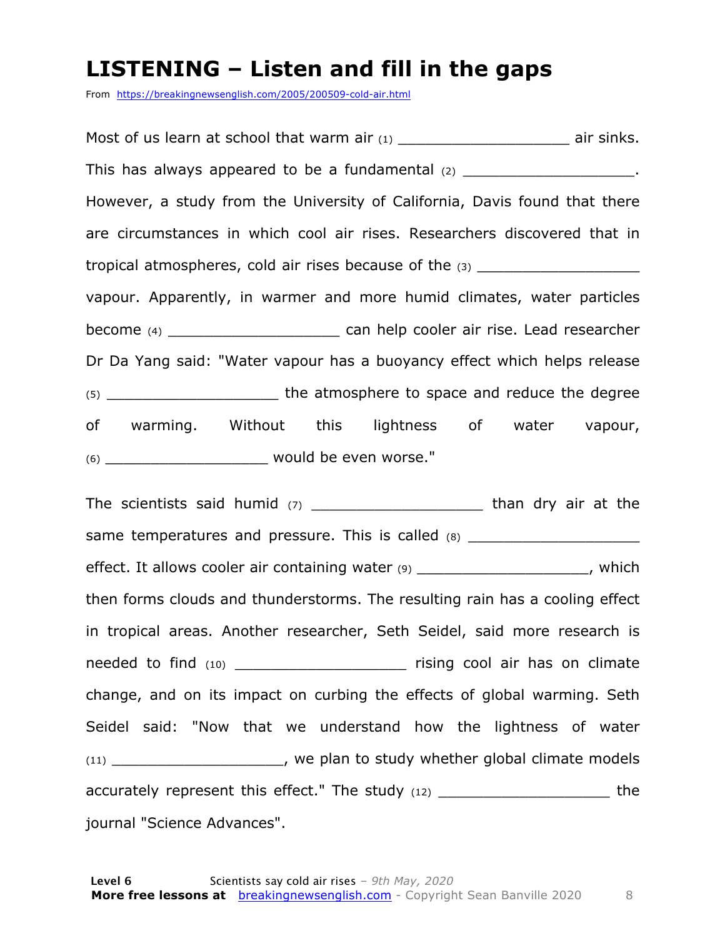### **LISTENING – Listen and fill in the gaps**

From https://breakingnewsenglish.com/2005/200509-cold-air.html

Most of us learn at school that warm air  $(1)$  air sinks. This has always appeared to be a fundamental  $(2)$ However, a study from the University of California, Davis found that there are circumstances in which cool air rises. Researchers discovered that in tropical atmospheres, cold air rises because of the  $(3)$ vapour. Apparently, in warmer and more humid climates, water particles become (4) **become** (4) **become** (4) **become** can help cooler air rise. Lead researcher Dr Da Yang said: "Water vapour has a buoyancy effect which helps release (5)  $\qquad \qquad$  the atmosphere to space and reduce the degree of warming. Without this lightness of water vapour, (6) **would be even worse."** 

The scientists said humid  $(7)$  and than dry air at the same temperatures and pressure. This is called (8) \_\_\_\_\_\_\_\_\_\_\_\_\_\_\_\_\_\_\_\_\_\_\_\_\_\_\_\_\_ effect. It allows cooler air containing water (9) effect. It allows cooler air containing water (9) then forms clouds and thunderstorms. The resulting rain has a cooling effect in tropical areas. Another researcher, Seth Seidel, said more research is needed to find (10) \_\_\_\_\_\_\_\_\_\_\_\_\_\_\_\_\_\_\_\_\_\_\_\_\_\_ rising cool air has on climate change, and on its impact on curbing the effects of global warming. Seth Seidel said: "Now that we understand how the lightness of water (11) \_\_\_\_\_\_\_\_\_\_\_\_\_\_\_\_\_\_\_, we plan to study whether global climate models accurately represent this effect." The study (12) \_\_\_\_\_\_\_\_\_\_\_\_\_\_\_\_\_\_\_\_\_\_\_\_\_ the journal "Science Advances".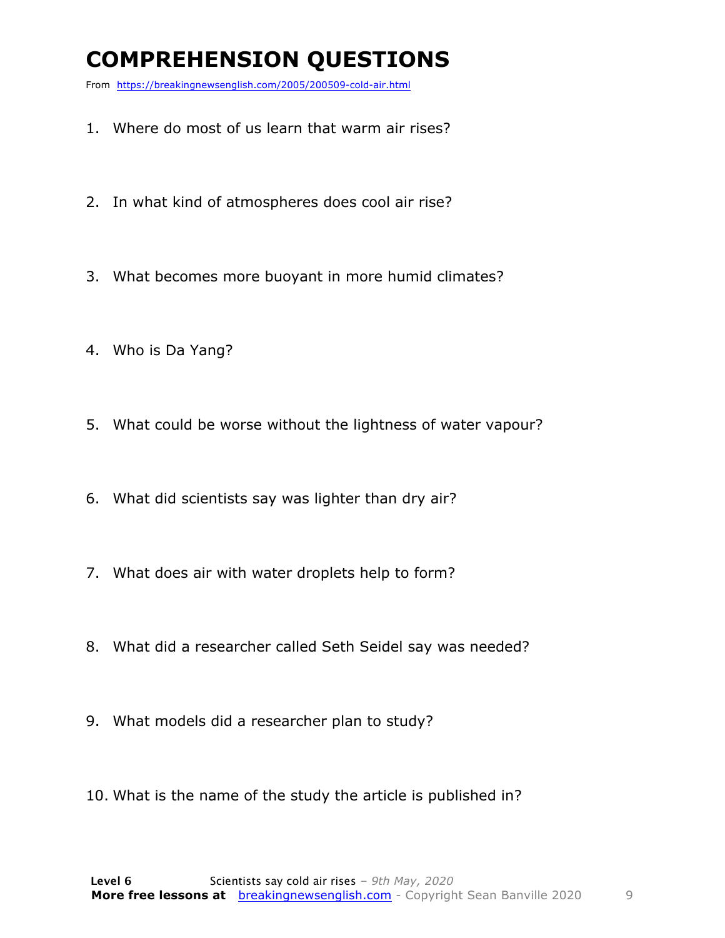### **COMPREHENSION QUESTIONS**

From https://breakingnewsenglish.com/2005/200509-cold-air.html

- 1. Where do most of us learn that warm air rises?
- 2. In what kind of atmospheres does cool air rise?
- 3. What becomes more buoyant in more humid climates?
- 4. Who is Da Yang?
- 5. What could be worse without the lightness of water vapour?
- 6. What did scientists say was lighter than dry air?
- 7. What does air with water droplets help to form?
- 8. What did a researcher called Seth Seidel say was needed?
- 9. What models did a researcher plan to study?
- 10. What is the name of the study the article is published in?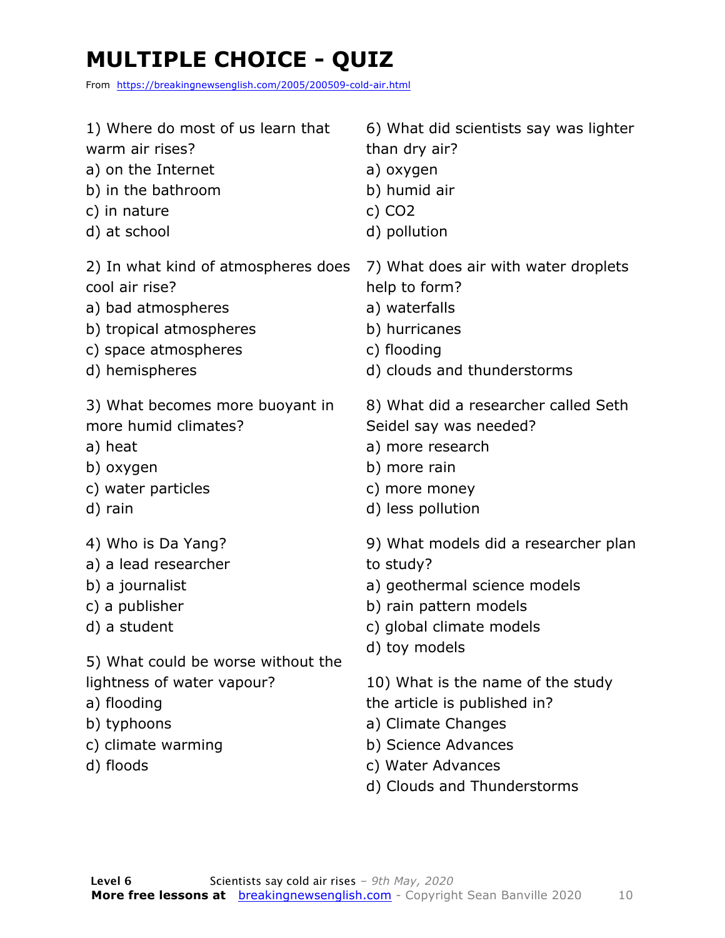## **MULTIPLE CHOICE - QUIZ**

From https://breakingnewsenglish.com/2005/200509-cold-air.html

| 1) Where do most of us learn that                                                           | 6) What did scientists say was lighter                                                                                                                             |
|---------------------------------------------------------------------------------------------|--------------------------------------------------------------------------------------------------------------------------------------------------------------------|
| warm air rises?                                                                             | than dry air?                                                                                                                                                      |
| a) on the Internet                                                                          | a) oxygen                                                                                                                                                          |
| b) in the bathroom                                                                          | b) humid air                                                                                                                                                       |
| c) in nature                                                                                | c) $CO2$                                                                                                                                                           |
| d) at school                                                                                | d) pollution                                                                                                                                                       |
| 2) In what kind of atmospheres does                                                         | 7) What does air with water droplets                                                                                                                               |
| cool air rise?                                                                              | help to form?                                                                                                                                                      |
| a) bad atmospheres                                                                          | a) waterfalls                                                                                                                                                      |
| b) tropical atmospheres                                                                     | b) hurricanes                                                                                                                                                      |
| c) space atmospheres                                                                        | c) flooding                                                                                                                                                        |
| d) hemispheres                                                                              | d) clouds and thunderstorms                                                                                                                                        |
| 3) What becomes more buoyant in                                                             | 8) What did a researcher called Seth                                                                                                                               |
| more humid climates?                                                                        | Seidel say was needed?                                                                                                                                             |
| a) heat                                                                                     | a) more research                                                                                                                                                   |
| b) oxygen                                                                                   | b) more rain                                                                                                                                                       |
| c) water particles                                                                          | c) more money                                                                                                                                                      |
| d) rain                                                                                     | d) less pollution                                                                                                                                                  |
| 4) Who is Da Yang?                                                                          | 9) What models did a researcher plan                                                                                                                               |
| a) a lead researcher                                                                        | to study?                                                                                                                                                          |
| b) a journalist                                                                             | a) geothermal science models                                                                                                                                       |
| c) a publisher                                                                              | b) rain pattern models                                                                                                                                             |
| d) a student                                                                                | c) global climate models                                                                                                                                           |
| 5) What could be worse without the                                                          | d) toy models                                                                                                                                                      |
| lightness of water vapour?<br>a) flooding<br>b) typhoons<br>c) climate warming<br>d) floods | 10) What is the name of the study<br>the article is published in?<br>a) Climate Changes<br>b) Science Advances<br>c) Water Advances<br>d) Clouds and Thunderstorms |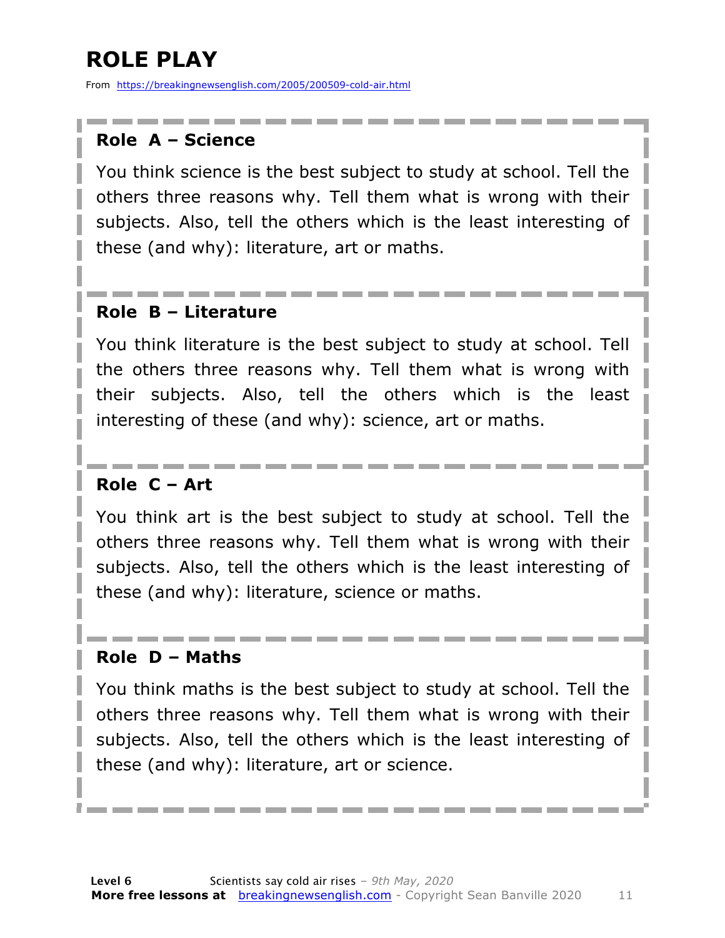### **ROLE PLAY**

From https://breakingnewsenglish.com/2005/200509-cold-air.html

#### **Role A – Science**

You think science is the best subject to study at school. Tell the others three reasons why. Tell them what is wrong with their subjects. Also, tell the others which is the least interesting of these (and why): literature, art or maths.

#### **Role B – Literature**

You think literature is the best subject to study at school. Tell the others three reasons why. Tell them what is wrong with their subjects. Also, tell the others which is the least interesting of these (and why): science, art or maths.

#### **Role C – Art**

You think art is the best subject to study at school. Tell the others three reasons why. Tell them what is wrong with their subjects. Also, tell the others which is the least interesting of these (and why): literature, science or maths.

#### **Role D – Maths**

You think maths is the best subject to study at school. Tell the others three reasons why. Tell them what is wrong with their subjects. Also, tell the others which is the least interesting of these (and why): literature, art or science.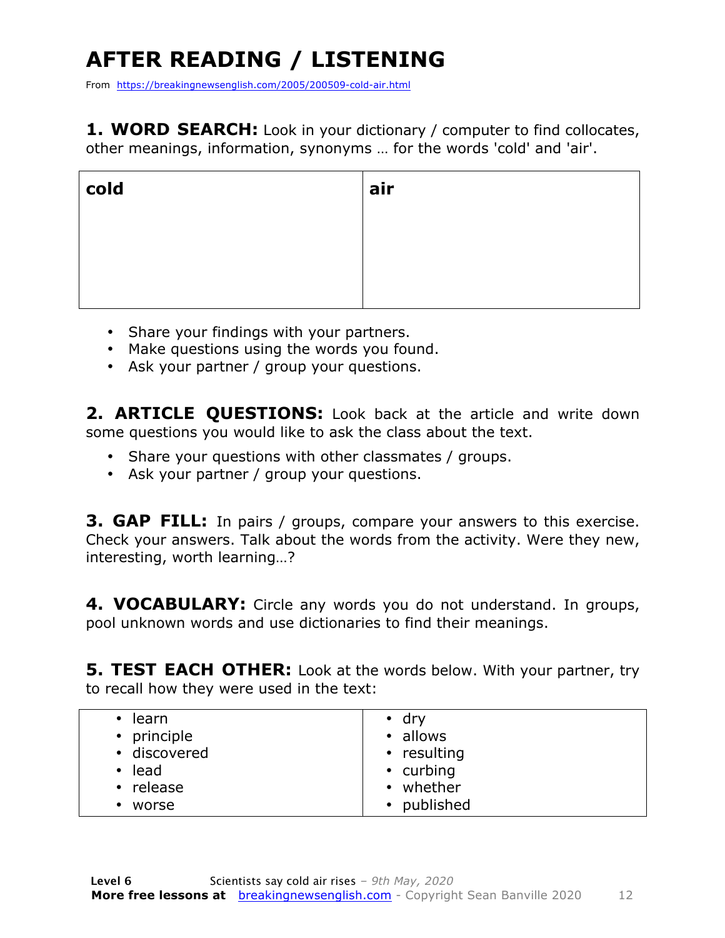## **AFTER READING / LISTENING**

From https://breakingnewsenglish.com/2005/200509-cold-air.html

**1. WORD SEARCH:** Look in your dictionary / computer to find collocates, other meanings, information, synonyms … for the words 'cold' and 'air'.

| cold | air |
|------|-----|
|      |     |
|      |     |
|      |     |

- Share your findings with your partners.
- Make questions using the words you found.
- Ask your partner / group your questions.

2. **ARTICLE OUESTIONS:** Look back at the article and write down some questions you would like to ask the class about the text.

- Share your questions with other classmates / groups.
- Ask your partner / group your questions.

**3. GAP FILL:** In pairs / groups, compare your answers to this exercise. Check your answers. Talk about the words from the activity. Were they new, interesting, worth learning…?

**4. VOCABULARY:** Circle any words you do not understand. In groups, pool unknown words and use dictionaries to find their meanings.

**5. TEST EACH OTHER:** Look at the words below. With your partner, try to recall how they were used in the text:

| learn<br>$\bullet$ | $\cdot$ dry |
|--------------------|-------------|
| • principle        | • allows    |
| • discovered       | • resulting |
| lead<br>$\bullet$  | • curbing   |
| • release          | • whether   |
| worse              | • published |
|                    |             |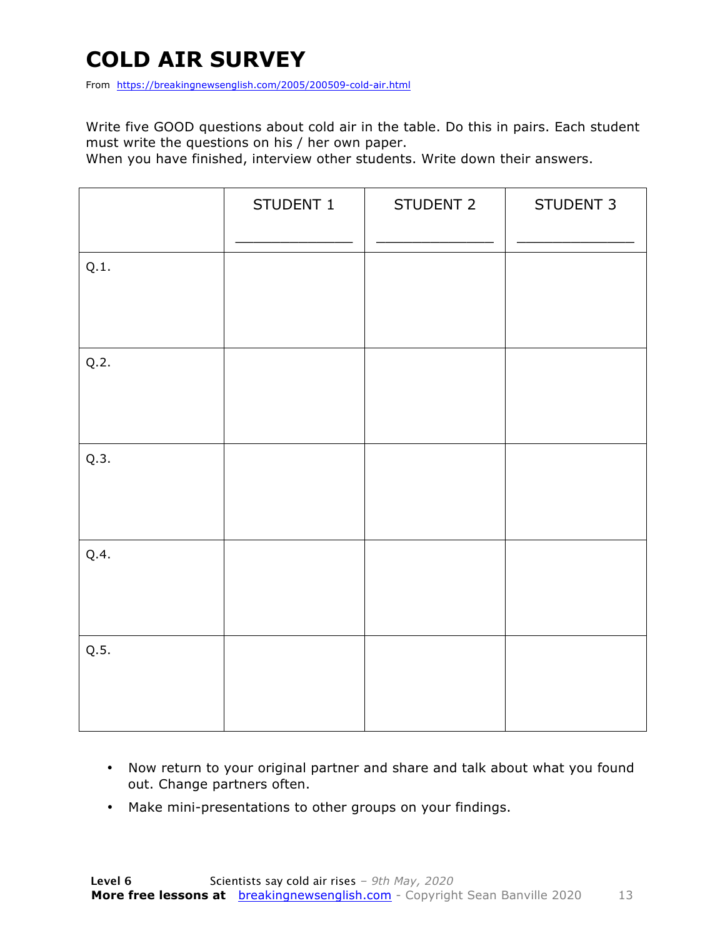### **COLD AIR SURVEY**

From https://breakingnewsenglish.com/2005/200509-cold-air.html

Write five GOOD questions about cold air in the table. Do this in pairs. Each student must write the questions on his / her own paper.

When you have finished, interview other students. Write down their answers.

|      | STUDENT 1 | STUDENT 2 | STUDENT 3 |
|------|-----------|-----------|-----------|
| Q.1. |           |           |           |
| Q.2. |           |           |           |
| Q.3. |           |           |           |
| Q.4. |           |           |           |
| Q.5. |           |           |           |

- Now return to your original partner and share and talk about what you found out. Change partners often.
- Make mini-presentations to other groups on your findings.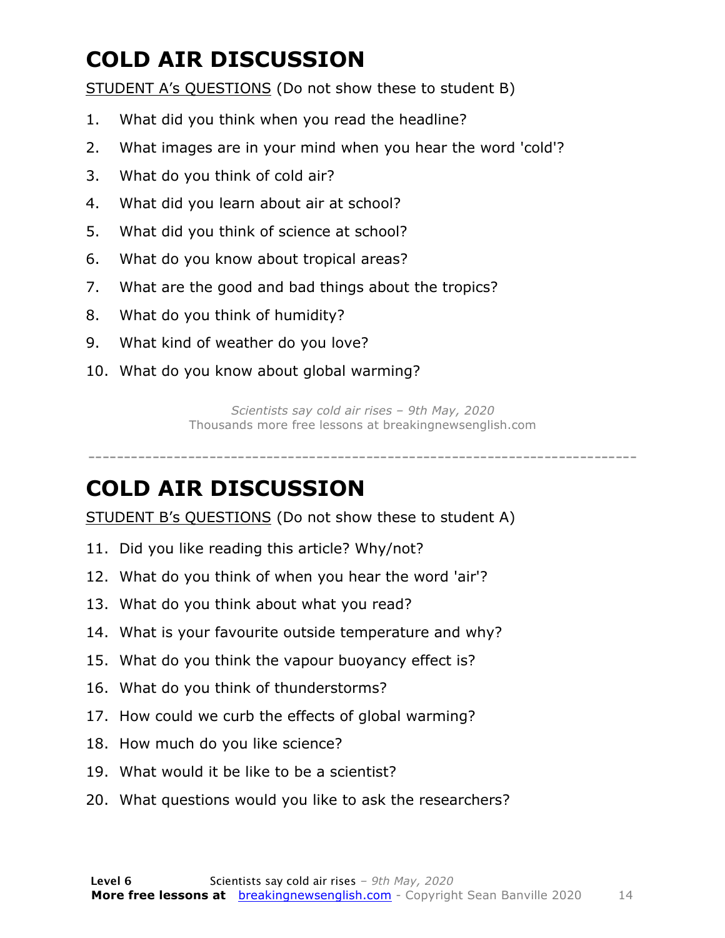### **COLD AIR DISCUSSION**

STUDENT A's QUESTIONS (Do not show these to student B)

- 1. What did you think when you read the headline?
- 2. What images are in your mind when you hear the word 'cold'?
- 3. What do you think of cold air?
- 4. What did you learn about air at school?
- 5. What did you think of science at school?
- 6. What do you know about tropical areas?
- 7. What are the good and bad things about the tropics?
- 8. What do you think of humidity?
- 9. What kind of weather do you love?
- 10. What do you know about global warming?

*Scientists say cold air rises – 9th May, 2020* Thousands more free lessons at breakingnewsenglish.com

#### -----------------------------------------------------------------------------

#### **COLD AIR DISCUSSION**

STUDENT B's QUESTIONS (Do not show these to student A)

- 11. Did you like reading this article? Why/not?
- 12. What do you think of when you hear the word 'air'?
- 13. What do you think about what you read?
- 14. What is your favourite outside temperature and why?
- 15. What do you think the vapour buoyancy effect is?
- 16. What do you think of thunderstorms?
- 17. How could we curb the effects of global warming?
- 18. How much do you like science?
- 19. What would it be like to be a scientist?
- 20. What questions would you like to ask the researchers?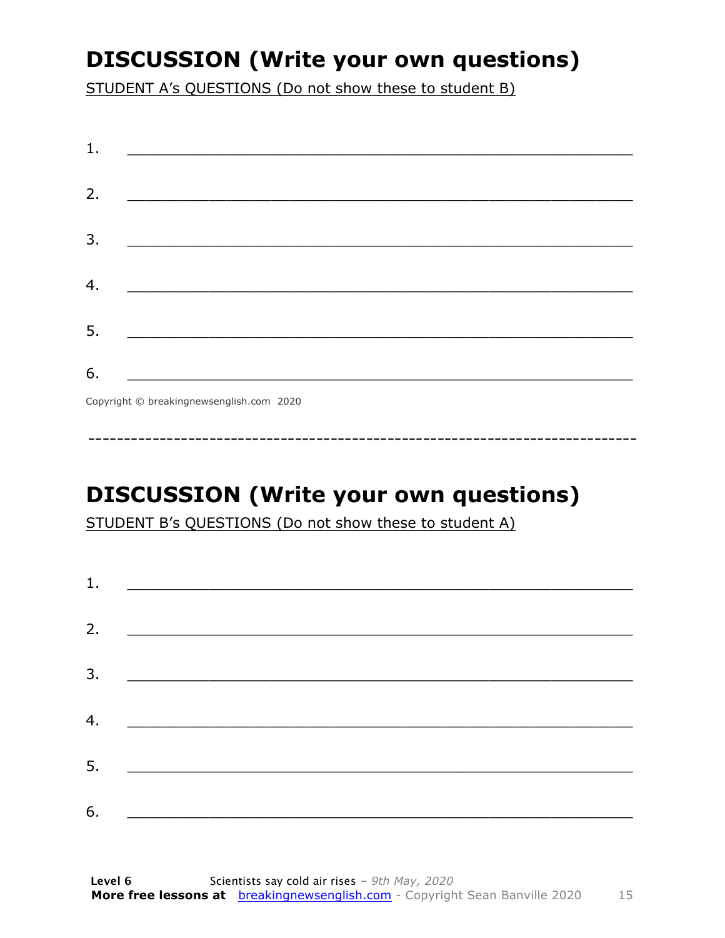### **DISCUSSION (Write your own questions)**

STUDENT A's QUESTIONS (Do not show these to student B)

| 1. |                                                                                                                      |
|----|----------------------------------------------------------------------------------------------------------------------|
|    |                                                                                                                      |
| 2. | <u> 1989 - Johann John Stone, mars et al. (b. 1989)</u>                                                              |
| 3. | <u> 1980 - Johann John Stone, mensk politik (d. 1980)</u>                                                            |
|    |                                                                                                                      |
| 4. |                                                                                                                      |
| 5. | <u> 1980 - Jan James James Barnett, martin de la política de la propia de la propia de la propia de la propia de</u> |
|    |                                                                                                                      |
| 6. | <u> 1989 - Johann Barbara, martxa alemani</u> ar arte                                                                |
|    | $Convriath \odot hraskinanawsanalich com 2020$                                                                       |

Copyright © breakingnewsenglish.com 2020

### **DISCUSSION (Write your own questions)**

STUDENT B's QUESTIONS (Do not show these to student A)

| 1. |                                                                                                                         |  |  |
|----|-------------------------------------------------------------------------------------------------------------------------|--|--|
|    |                                                                                                                         |  |  |
| 2. | <u> 1980 - Andrea Stationer, fransk politiker (d. 1980)</u>                                                             |  |  |
| 3. |                                                                                                                         |  |  |
|    |                                                                                                                         |  |  |
| 4. | <u> 1980 - Jan Samuel Barbara, margaret eta idazlea (h. 1980).</u>                                                      |  |  |
| 5. | <u> 1986 - Johann Stoff, deutscher Stoffen und der Stoffen und der Stoffen und der Stoffen und der Stoffen und der </u> |  |  |
|    |                                                                                                                         |  |  |
| 6. | <u> 1989 - Johann John Stone, market fan it ferskearre fan it ferskearre fan it ferskearre fan it ferskearre fan i</u>  |  |  |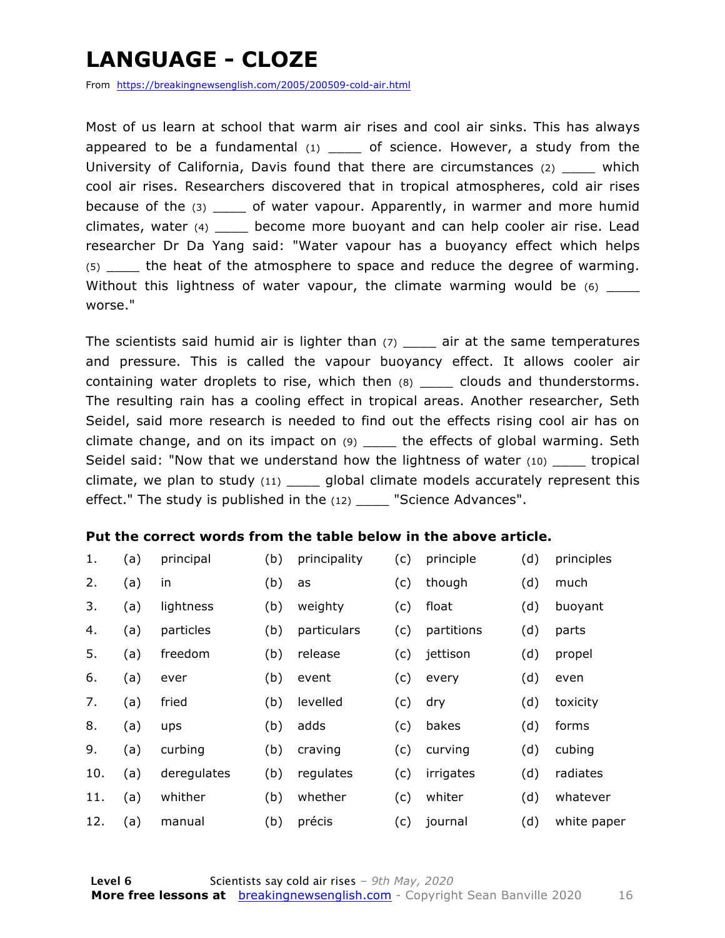### **LANGUAGE - CLOZE**

From https://breakingnewsenglish.com/2005/200509-cold-air.html

Most of us learn at school that warm air rises and cool air sinks. This has always appeared to be a fundamental  $(1)$  \_\_\_\_ of science. However, a study from the University of California, Davis found that there are circumstances (2) \_\_\_\_ which cool air rises. Researchers discovered that in tropical atmospheres, cold air rises because of the (3) \_\_\_\_ of water vapour. Apparently, in warmer and more humid climates, water (4) \_\_\_\_ become more buoyant and can help cooler air rise. Lead researcher Dr Da Yang said: "Water vapour has a buoyancy effect which helps (5) \_\_\_\_ the heat of the atmosphere to space and reduce the degree of warming. Without this lightness of water vapour, the climate warming would be  $(6)$  \_\_\_\_ worse."

The scientists said humid air is lighter than  $(7)$  \_\_\_\_ air at the same temperatures and pressure. This is called the vapour buoyancy effect. It allows cooler air containing water droplets to rise, which then (8) \_\_\_\_\_ clouds and thunderstorms. The resulting rain has a cooling effect in tropical areas. Another researcher, Seth Seidel, said more research is needed to find out the effects rising cool air has on climate change, and on its impact on (9) \_\_\_\_ the effects of global warming. Seth Seidel said: "Now that we understand how the lightness of water  $(10)$  \_\_\_\_\_\_ tropical climate, we plan to study  $(11)$  \_\_\_\_ global climate models accurately represent this effect." The study is published in the (12) \_\_\_\_ "Science Advances".

#### **Put the correct words from the table below in the above article.**

| 1.  | (a) | principal   | (b) | principality | (c) | principle  | (d) | principles  |
|-----|-----|-------------|-----|--------------|-----|------------|-----|-------------|
| 2.  | (a) | in          | (b) | as           | (c) | though     | (d) | much        |
| 3.  | (a) | lightness   | (b) | weighty      | (c) | float      | (d) | buoyant     |
| 4.  | (a) | particles   | (b) | particulars  | (c) | partitions | (d) | parts       |
| 5.  | (a) | freedom     | (b) | release      | (c) | jettison   | (d) | propel      |
| 6.  | (a) | ever        | (b) | event        | (c) | every      | (d) | even        |
| 7.  | (a) | fried       | (b) | levelled     | (c) | dry        | (d) | toxicity    |
| 8.  | (a) | ups         | (b) | adds         | (c) | bakes      | (d) | forms       |
| 9.  | (a) | curbing     | (b) | craving      | (c) | curving    | (d) | cubing      |
| 10. | (a) | deregulates | (b) | regulates    | (c) | irrigates  | (d) | radiates    |
| 11. | (a) | whither     | (b) | whether      | (c) | whiter     | (d) | whatever    |
| 12. | (a) | manual      | (b) | précis       | (c) | journal    | (d) | white paper |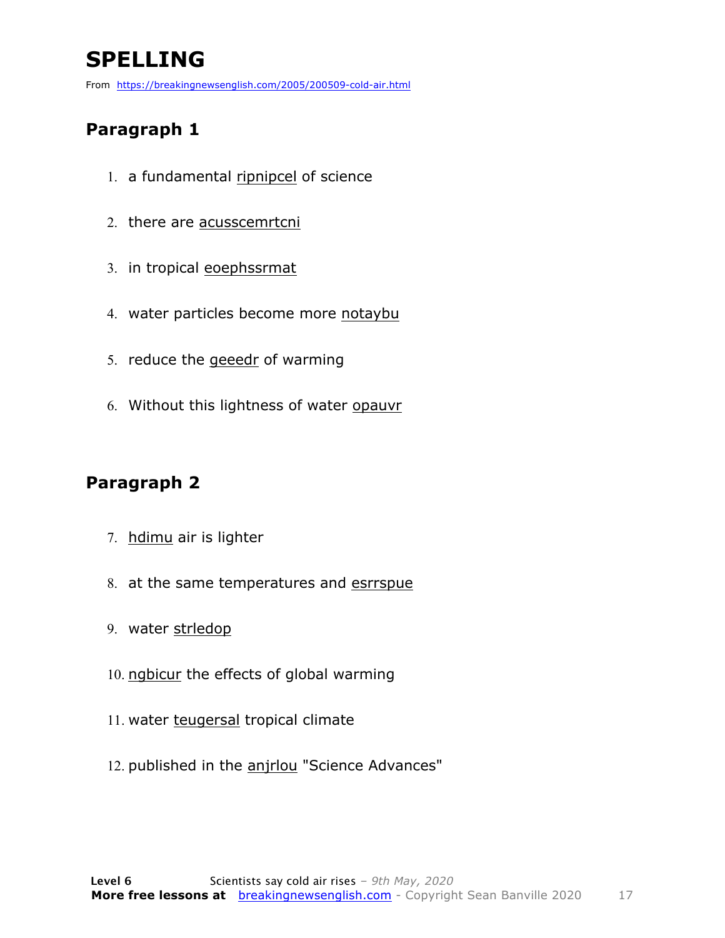### **SPELLING**

From https://breakingnewsenglish.com/2005/200509-cold-air.html

#### **Paragraph 1**

- 1. a fundamental ripnipcel of science
- 2. there are acusscemrtcni
- 3. in tropical eoephssrmat
- 4. water particles become more notaybu
- 5. reduce the geeedr of warming
- 6. Without this lightness of water opauvr

#### **Paragraph 2**

- 7. hdimu air is lighter
- 8. at the same temperatures and esrrspue
- 9. water strledop
- 10. ngbicur the effects of global warming
- 11. water teugersal tropical climate
- 12. published in the anjrlou "Science Advances"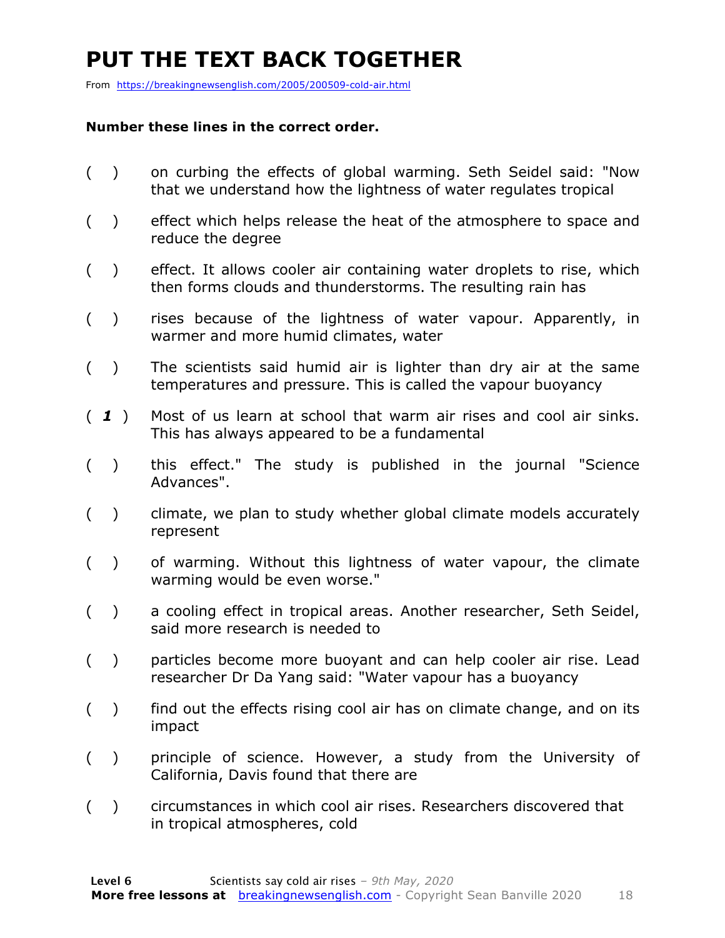### **PUT THE TEXT BACK TOGETHER**

From https://breakingnewsenglish.com/2005/200509-cold-air.html

#### **Number these lines in the correct order.**

- ( ) on curbing the effects of global warming. Seth Seidel said: "Now that we understand how the lightness of water regulates tropical
- ( ) effect which helps release the heat of the atmosphere to space and reduce the degree
- ( ) effect. It allows cooler air containing water droplets to rise, which then forms clouds and thunderstorms. The resulting rain has
- ( ) rises because of the lightness of water vapour. Apparently, in warmer and more humid climates, water
- ( ) The scientists said humid air is lighter than dry air at the same temperatures and pressure. This is called the vapour buoyancy
- ( *1* ) Most of us learn at school that warm air rises and cool air sinks. This has always appeared to be a fundamental
- ( ) this effect." The study is published in the journal "Science Advances".
- ( ) climate, we plan to study whether global climate models accurately represent
- ( ) of warming. Without this lightness of water vapour, the climate warming would be even worse."
- ( ) a cooling effect in tropical areas. Another researcher, Seth Seidel, said more research is needed to
- ( ) particles become more buoyant and can help cooler air rise. Lead researcher Dr Da Yang said: "Water vapour has a buoyancy
- ( ) find out the effects rising cool air has on climate change, and on its impact
- ( ) principle of science. However, a study from the University of California, Davis found that there are
- ( ) circumstances in which cool air rises. Researchers discovered that in tropical atmospheres, cold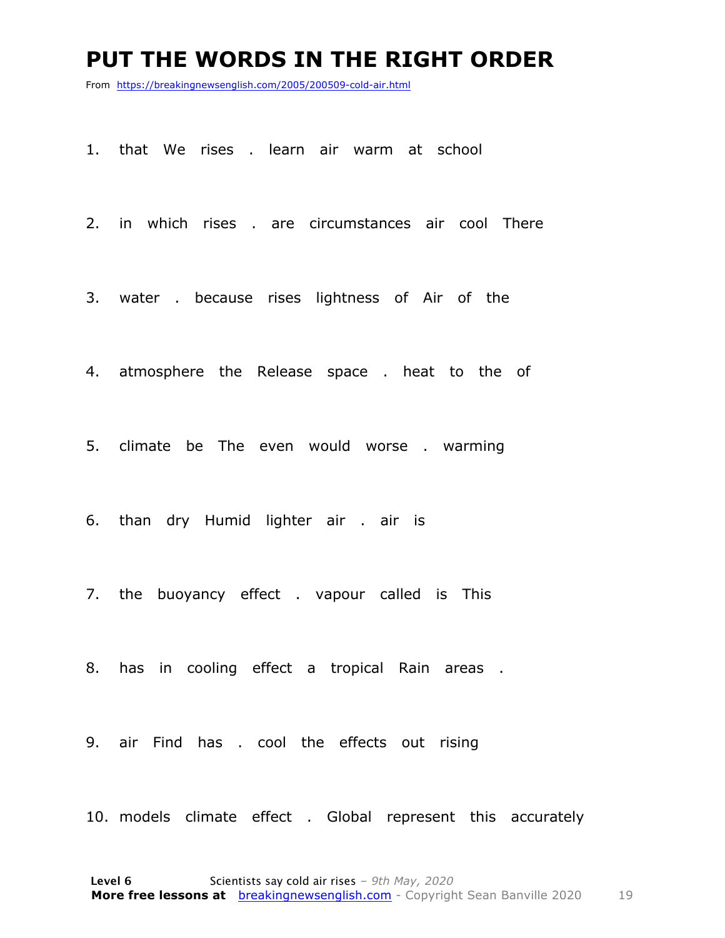#### **PUT THE WORDS IN THE RIGHT ORDER**

From https://breakingnewsenglish.com/2005/200509-cold-air.html

1. that We rises . learn air warm at school

2. in which rises . are circumstances air cool There

3. water . because rises lightness of Air of the

4. atmosphere the Release space . heat to the of

5. climate be The even would worse . warming

6. than dry Humid lighter air . air is

7. the buoyancy effect . vapour called is This

8. has in cooling effect a tropical Rain areas .

9. air Find has . cool the effects out rising

10. models climate effect . Global represent this accurately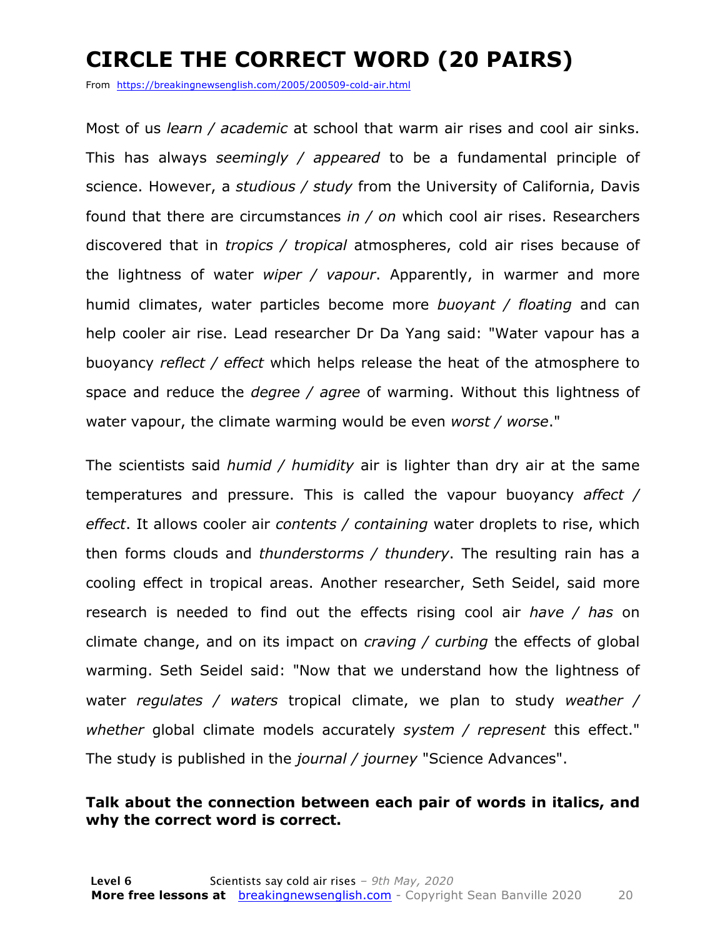### **CIRCLE THE CORRECT WORD (20 PAIRS)**

From https://breakingnewsenglish.com/2005/200509-cold-air.html

Most of us *learn / academic* at school that warm air rises and cool air sinks. This has always *seemingly / appeared* to be a fundamental principle of science. However, a *studious / study* from the University of California, Davis found that there are circumstances *in / on* which cool air rises. Researchers discovered that in *tropics / tropical* atmospheres, cold air rises because of the lightness of water *wiper / vapour*. Apparently, in warmer and more humid climates, water particles become more *buoyant / floating* and can help cooler air rise. Lead researcher Dr Da Yang said: "Water vapour has a buoyancy *reflect / effect* which helps release the heat of the atmosphere to space and reduce the *degree / agree* of warming. Without this lightness of water vapour, the climate warming would be even *worst / worse*."

The scientists said *humid / humidity* air is lighter than dry air at the same temperatures and pressure. This is called the vapour buoyancy *affect / effect*. It allows cooler air *contents / containing* water droplets to rise, which then forms clouds and *thunderstorms / thundery*. The resulting rain has a cooling effect in tropical areas. Another researcher, Seth Seidel, said more research is needed to find out the effects rising cool air *have / has* on climate change, and on its impact on *craving / curbing* the effects of global warming. Seth Seidel said: "Now that we understand how the lightness of water *regulates / waters* tropical climate, we plan to study *weather / whether* global climate models accurately *system / represent* this effect." The study is published in the *journal / journey* "Science Advances".

#### **Talk about the connection between each pair of words in italics, and why the correct word is correct.**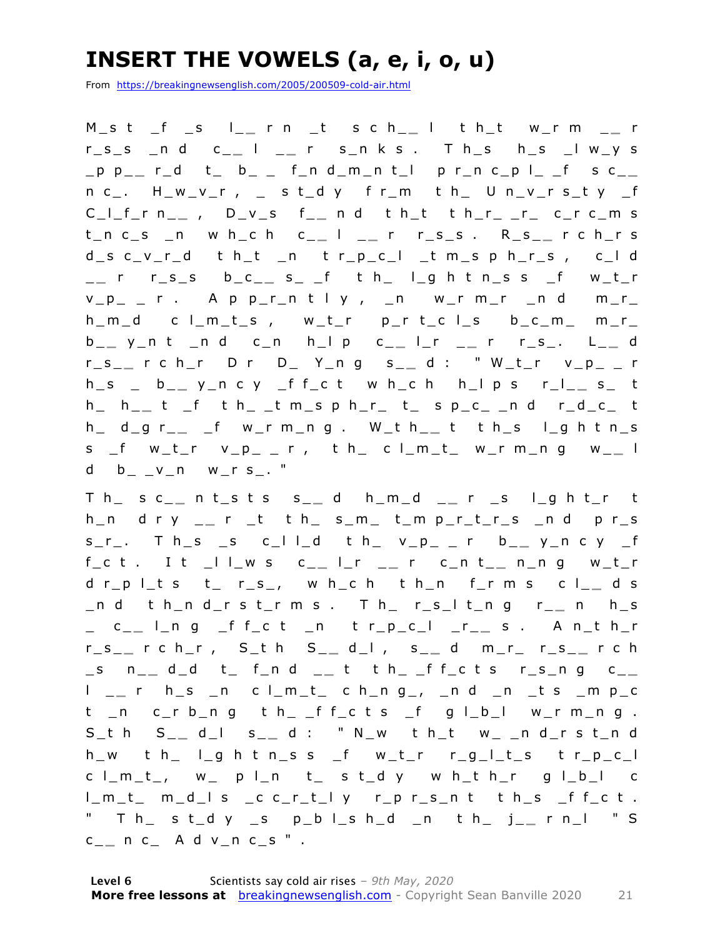### **INSERT THE VOWELS (a, e, i, o, u)**

From https://breakingnewsenglish.com/2005/200509-cold-air.html

M\_s t \_f \_s l\_ **\_** r n \_t s c h\_ **\_** l t h\_t w\_r m \_ **\_** r r\_s\_s \_n d c\_ **\_** l \_ **\_** r s\_n k s . T h\_s h\_s \_l w\_y s \_p p\_ **\_** r\_d t\_ b\_ \_ f\_n d\_m\_n t\_l p r\_n c\_p l\_ \_f s c\_ **\_**   $n c_-.$  H\_w\_v\_r, \_ st\_d y f r\_m t h\_ U n\_v\_r s\_t y \_f C\_l\_f\_ r n\_ **\_** , D\_v\_s f\_ **\_** n d t h\_t t h\_r\_ \_r\_ c\_r c\_m s t\_n c\_s \_n w h\_c h c\_ **\_** l \_ **\_** r r\_s\_s . R\_s\_ **\_** r c h\_r s d\_s c\_v\_r\_d t h\_t \_n t r\_p\_c\_l \_t m\_s p h\_r\_s , c\_l d \_ **\_** r r\_s\_s b\_c\_ **\_** s\_ \_f t h\_ l\_g h t n\_s s \_f w\_t\_r  $v_p$ <sub>-</sub>  $r$  . A p  $p_r$ n t l y ,  $n$  w\_r m\_r  $n$  d m\_r\_ h\_m\_d c l\_m\_t\_s , w\_t\_r p\_r t\_c l\_s b\_c\_m\_ m\_r\_ b \_ **\_** y\_n t \_n d c\_n h\_l p c\_ **\_** l\_r \_ **\_** r r\_s\_. L\_ **\_** d r\_s\_ **\_** r c h\_r D r D\_ Y\_n g s\_ **\_** d : " W\_t\_r v\_p\_ \_ r h\_s \_ b\_ **\_** y\_n c y \_f f\_c t w h\_c h h\_l p s r\_l\_ **\_** s\_ t h\_ h\_ **\_** t \_f t h\_ \_t m\_s p h\_r\_ t\_ s p\_c\_ \_n d r\_d\_c\_ t h\_ d\_g r\_ **\_** \_f w\_r m\_n g . W\_t h\_ **\_** t t h\_s l\_g h t n\_s s \_f w\_t\_r v\_p\_ \_ r , t h\_ c l\_m\_t\_ w\_r m\_n g w\_ **\_** l d  $b_ - v_n$  w\_r s\_. "

T h\_ s c\_ **\_** n t\_s t s s\_ **\_** d h\_m\_d \_ **\_** r \_s l\_g h t\_r t h\_n d r y \_ **\_** r \_t t h\_ s\_m\_ t\_m p\_r\_t\_r\_s \_n d p r\_s s\_r\_. T h\_s \_s c\_l l\_d t h\_ v\_p\_ \_ r b \_ **\_** y\_n c y \_f f\_c t . I t \_l l\_w s c\_ **\_** l\_r \_ **\_** r c\_n t\_ **\_** n\_n g w\_t\_r d r\_p l\_t s t\_ r\_s\_, w h\_c h t h\_n f\_r m s c l\_ **\_** d s \_n d t h\_n d\_r s t\_r m s . T h\_ r\_s\_l t\_n g r\_ **\_** n h\_s \_ c\_ **\_** l\_n g \_f f\_c t \_n t r\_p\_c\_l \_r\_ **\_** s . A n\_t h\_r r\_s\_ **\_** r c h\_r , S\_t h S\_ **\_** d\_l , s\_ **\_** d m\_r\_ r\_s \_ **\_** r c h \_s n\_ **\_** d\_d t\_ f\_n d \_ **\_** t t h\_ \_f f\_c t s r\_s\_n g c\_ **\_**  l \_ **\_** r h\_s \_n c l\_m\_t\_ c h\_n g\_, \_n d \_n \_t s \_m p\_c t \_n c\_r b\_n g t h\_ \_f f\_c t s \_f g l\_b\_l w\_r m\_n g . S\_t h S\_ **\_** d\_l s\_ **\_** d : " N\_w t h\_t w\_ \_n d \_r s t\_n d h\_w t h\_ l\_g h t n\_s s \_f w\_t\_r r\_g\_l\_t\_s t r\_p\_c\_l  $c \mid m_t$ , w\_ p l\_n t\_ s t\_d y w h\_t h\_r g l\_b\_l c l\_m\_t\_ m\_d\_l s \_c c\_r\_t\_l y r\_p r\_s\_n t t h\_s \_f f\_c t . " T h\_ s t\_d y \_s p\_b l\_s h\_d \_n t h\_ j\_ **\_** r n\_l " S c \_ **\_** n c\_ A d v\_n c\_s " .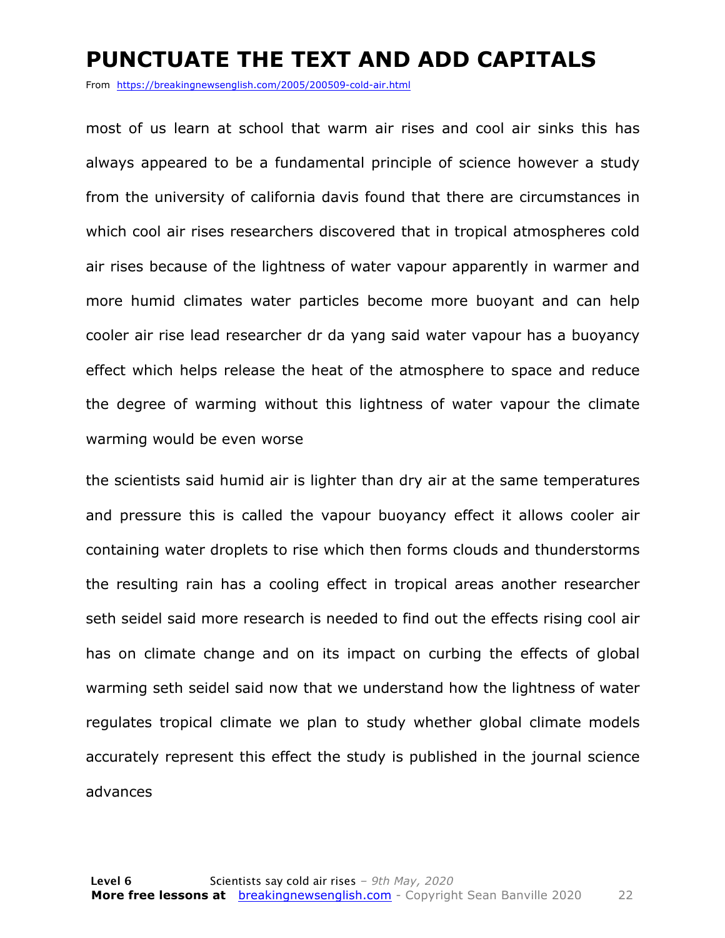#### **PUNCTUATE THE TEXT AND ADD CAPITALS**

From https://breakingnewsenglish.com/2005/200509-cold-air.html

most of us learn at school that warm air rises and cool air sinks this has always appeared to be a fundamental principle of science however a study from the university of california davis found that there are circumstances in which cool air rises researchers discovered that in tropical atmospheres cold air rises because of the lightness of water vapour apparently in warmer and more humid climates water particles become more buoyant and can help cooler air rise lead researcher dr da yang said water vapour has a buoyancy effect which helps release the heat of the atmosphere to space and reduce the degree of warming without this lightness of water vapour the climate warming would be even worse

the scientists said humid air is lighter than dry air at the same temperatures and pressure this is called the vapour buoyancy effect it allows cooler air containing water droplets to rise which then forms clouds and thunderstorms the resulting rain has a cooling effect in tropical areas another researcher seth seidel said more research is needed to find out the effects rising cool air has on climate change and on its impact on curbing the effects of global warming seth seidel said now that we understand how the lightness of water regulates tropical climate we plan to study whether global climate models accurately represent this effect the study is published in the journal science advances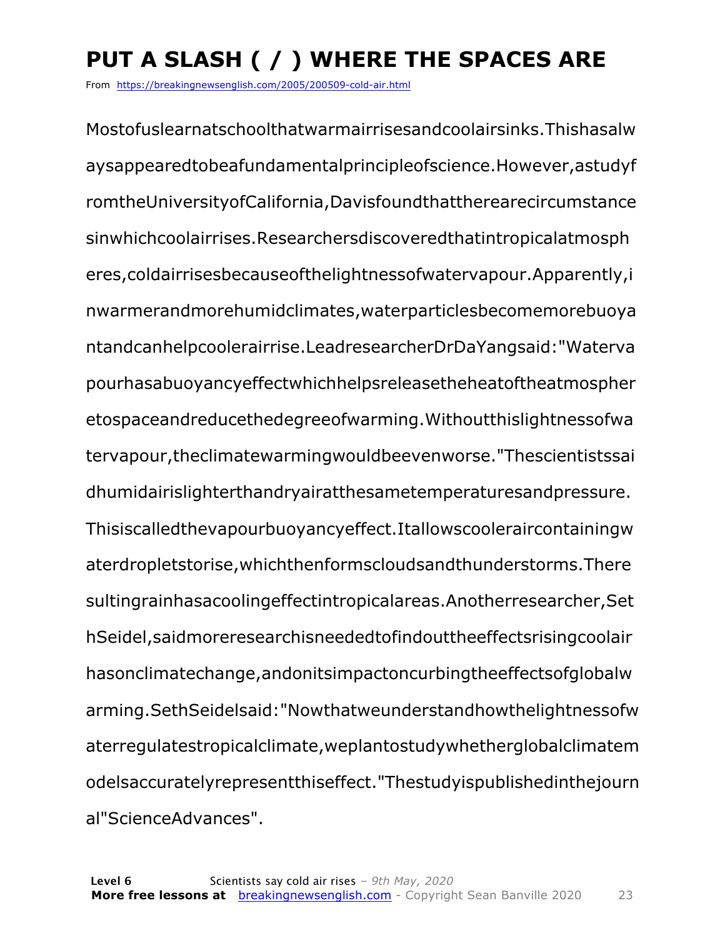### **PUT A SLASH ( / ) WHERE THE SPACES ARE**

From https://breakingnewsenglish.com/2005/200509-cold-air.html

Mostofuslearnatschoolthatwarmairrisesandcoolairsinks.Thishasalw aysappearedtobeafundamentalprincipleofscience.However,astudyf romtheUniversityofCalifornia,Davisfoundthattherearecircumstance sinwhichcoolairrises.Researchersdiscoveredthatintropicalatmosph eres,coldairrisesbecauseofthelightnessofwatervapour.Apparently,i nwarmerandmorehumidclimates,waterparticlesbecomemorebuoya ntandcanhelpcoolerairrise.LeadresearcherDrDaYangsaid:"Waterva pourhasabuoyancyeffectwhichhelpsreleasetheheatoftheatmospher etospaceandreducethedegreeofwarming.Withoutthislightnessofwa tervapour,theclimatewarmingwouldbeevenworse."Thescientistssai dhumidairislighterthandryairatthesametemperaturesandpressure. Thisiscalledthevapourbuoyancyeffect.Itallowscooleraircontainingw aterdropletstorise,whichthenformscloudsandthunderstorms.There sultingrainhasacoolingeffectintropicalareas.Anotherresearcher,Set hSeidel,saidmoreresearchisneededtofindouttheeffectsrisingcoolair hasonclimatechange,andonitsimpactoncurbingtheeffectsofglobalw arming.SethSeidelsaid:"Nowthatweunderstandhowthelightnessofw aterregulatestropicalclimate,weplantostudywhetherglobalclimatem odelsaccuratelyrepresentthiseffect."Thestudyispublishedinthejourn al"ScienceAdvances".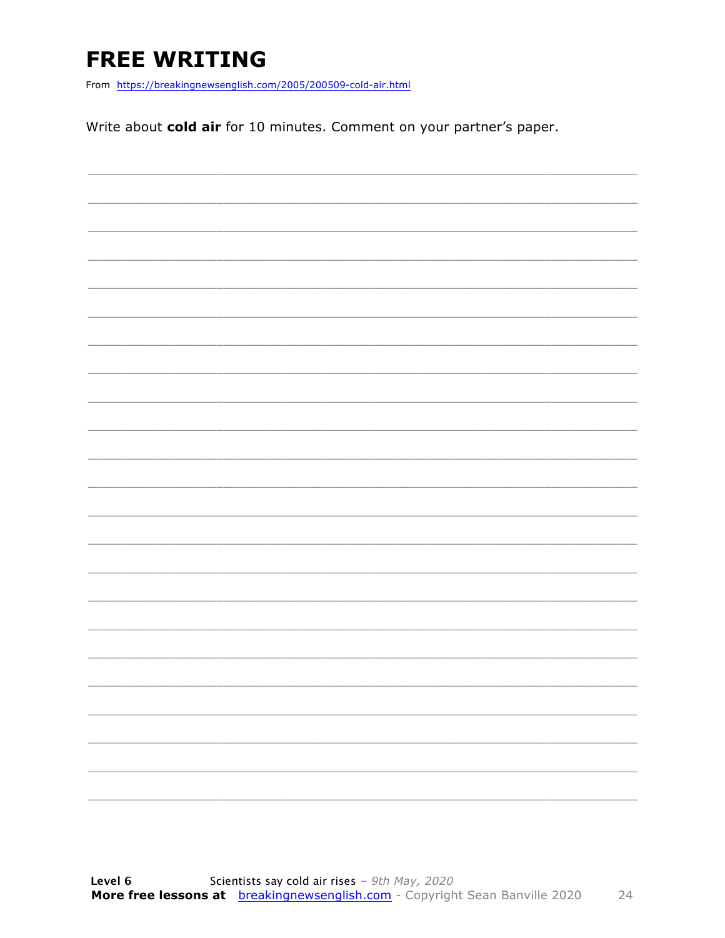### **FREE WRITING**

From https://breakingnewsenglish.com/2005/200509-cold-air.html

Write about cold air for 10 minutes. Comment on your partner's paper.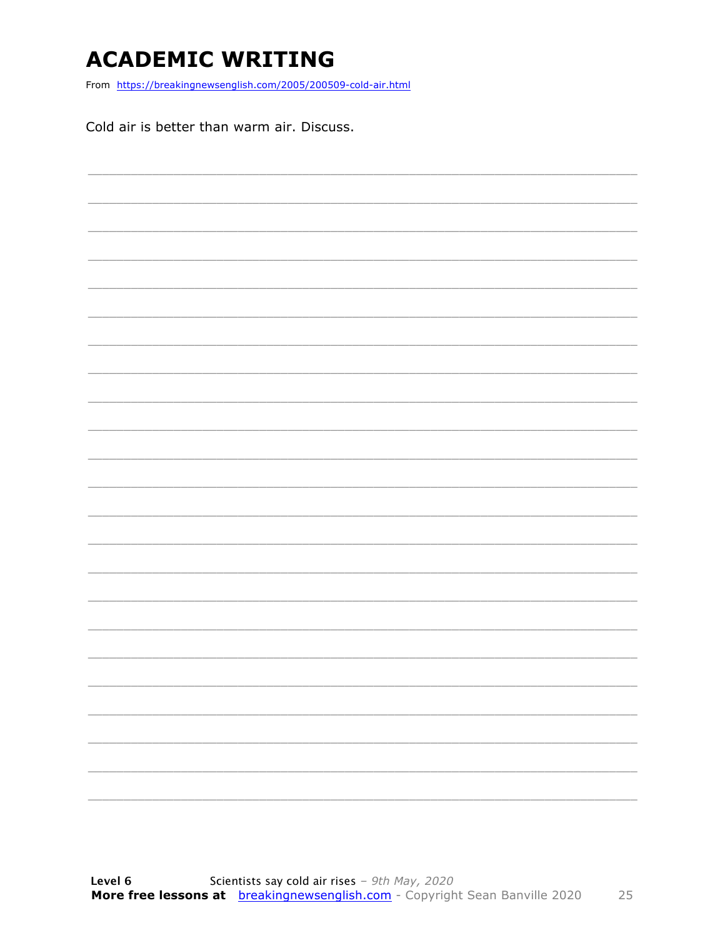### **ACADEMIC WRITING**

From https://breakingnewsenglish.com/2005/200509-cold-air.html

Cold air is better than warm air. Discuss.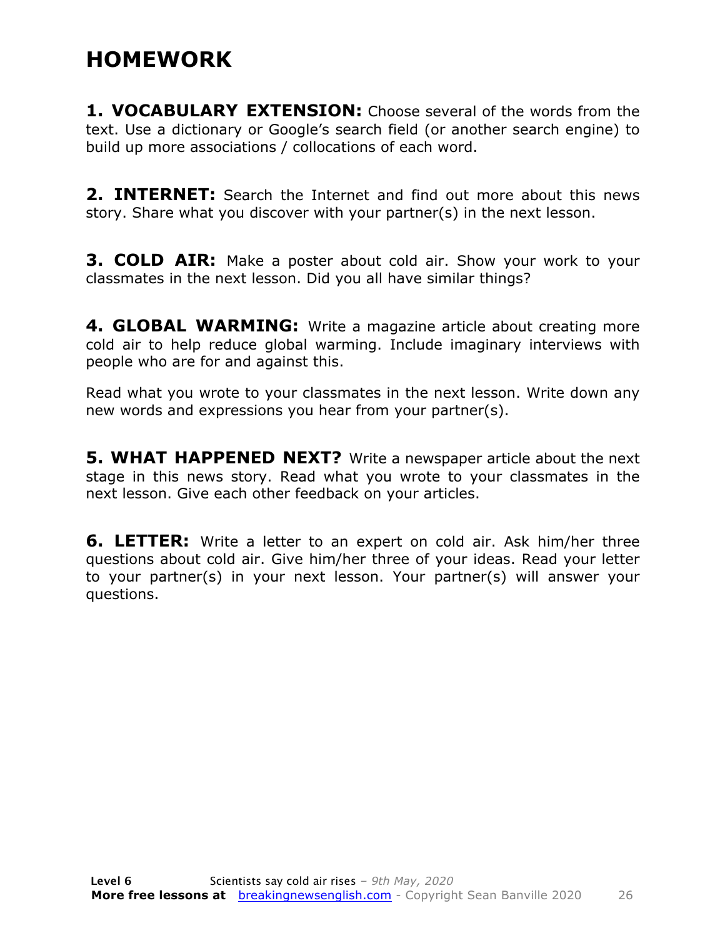### **HOMEWORK**

**1. VOCABULARY EXTENSION:** Choose several of the words from the text. Use a dictionary or Google's search field (or another search engine) to build up more associations / collocations of each word.

**2. INTERNET:** Search the Internet and find out more about this news story. Share what you discover with your partner(s) in the next lesson.

**3. COLD AIR:** Make a poster about cold air. Show your work to your classmates in the next lesson. Did you all have similar things?

**4. GLOBAL WARMING:** Write a magazine article about creating more cold air to help reduce global warming. Include imaginary interviews with people who are for and against this.

Read what you wrote to your classmates in the next lesson. Write down any new words and expressions you hear from your partner(s).

**5. WHAT HAPPENED NEXT?** Write a newspaper article about the next stage in this news story. Read what you wrote to your classmates in the next lesson. Give each other feedback on your articles.

**6. LETTER:** Write a letter to an expert on cold air. Ask him/her three questions about cold air. Give him/her three of your ideas. Read your letter to your partner(s) in your next lesson. Your partner(s) will answer your questions.